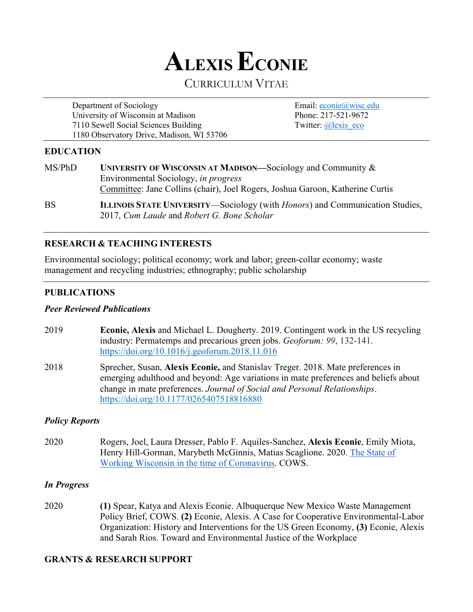

# CURRICULUM VITAE

Department of Sociology Email: econie@wisc.edu University of Wisconsin at Madison Phone: 217-521-9672 7110 Sewell Social Sciences Building Twitter: @lexis eco 1180 Observatory Drive, Madison, WI 53706

### **EDUCATION**

| MS/PhD    | UNIVERSITY OF WISCONSIN AT MADISON—Sociology and Community $\&$                      |
|-----------|--------------------------------------------------------------------------------------|
|           | Environmental Sociology, in progress                                                 |
|           | Committee: Jane Collins (chair), Joel Rogers, Joshua Garoon, Katherine Curtis        |
| <b>BS</b> | ILLINOIS STATE UNIVERSITY—Sociology (with <i>Honors</i> ) and Communication Studies, |

# **RESEARCH & TEACHING INTERESTS**

Environmental sociology; political economy; work and labor; green-collar economy; waste management and recycling industries; ethnography; public scholarship

2017, *Cum Laude* and *Robert G. Bone Scholar*

# **PUBLICATIONS**

### *Peer Reviewed Publications*

- 2019 **Econie, Alexis** and Michael L. Dougherty. 2019. Contingent work in the US recycling industry: Permatemps and precarious green jobs. *Geoforum: 99*, 132-141. https://doi.org/10.1016/j.geoforum.2018.11.016
- 2018 Sprecher, Susan, **Alexis Econie,** and Stanislav Treger. 2018. Mate preferences in emerging adulthood and beyond: Age variations in mate preferences and beliefs about change in mate preferences. *Journal of Social and Personal Relationships*. https://doi.org/10.1177/0265407518816880

# *Policy Reports*

2020 Rogers, Joel, Laura Dresser, Pablo F. Aquiles-Sanchez, **Alexis Econie**, Emily Miota, Henry Hill-Gorman, Marybeth McGinnis, Matias Scaglione. 2020. The State of Working Wisconsin in the time of Coronavirus. COWS.

### *In Progress*

2020 **(1)** Spear, Katya and Alexis Econie. Albuquerque New Mexico Waste Management Policy Brief, COWS. **(2)** Econie, Alexis. A Case for Cooperative Environmental-Labor Organization: History and Interventions for the US Green Economy, **(3)** Econie, Alexis and Sarah Rios. Toward and Environmental Justice of the Workplace

# **GRANTS & RESEARCH SUPPORT**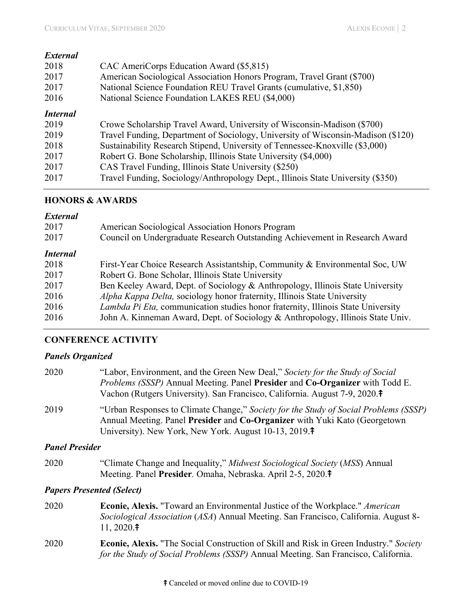| <b>External</b> |                                                                                  |
|-----------------|----------------------------------------------------------------------------------|
| 2018            | CAC AmeriCorps Education Award (\$5,815)                                         |
| 2017            | American Sociological Association Honors Program, Travel Grant (\$700)           |
| 2017            | National Science Foundation REU Travel Grants (cumulative, \$1,850)              |
| 2016            | National Science Foundation LAKES REU (\$4,000)                                  |
| <b>Internal</b> |                                                                                  |
| 2019            | Crowe Scholarship Travel Award, University of Wisconsin-Madison (\$700)          |
| 2019            | Travel Funding, Department of Sociology, University of Wisconsin-Madison (\$120) |
| 2018            | Sustainability Research Stipend, University of Tennessee-Knoxville (\$3,000)     |
| 2017            | Robert G. Bone Scholarship, Illinois State University (\$4,000)                  |
| 2017            | CAS Travel Funding, Illinois State University (\$250)                            |
| 2017            | Travel Funding, Sociology/Anthropology Dept., Illinois State University (\$350)  |

### **HONORS & AWARDS**

#### *External*

| 2017<br>2017    | American Sociological Association Honors Program<br>Council on Undergraduate Research Outstanding Achievement in Research Award |
|-----------------|---------------------------------------------------------------------------------------------------------------------------------|
| <b>Internal</b> |                                                                                                                                 |
| 2018            | First-Year Choice Research Assistantship, Community & Environmental Soc, UW                                                     |
| 2017            | Robert G. Bone Scholar, Illinois State University                                                                               |
| 2017            | Ben Keeley Award, Dept. of Sociology & Anthropology, Illinois State University                                                  |
| 2016            | Alpha Kappa Delta, sociology honor fraternity, Illinois State University                                                        |
| 2016            | Lambda Pi Eta, communication studies honor fraternity, Illinois State University                                                |
| 2016            | John A. Kinneman Award, Dept. of Sociology & Anthropology, Illinois State Univ.                                                 |

### **CONFERENCE ACTIVITY**

### *Panels Organized*

| 2020                  | "Labor, Environment, and the Green New Deal," Society for the Study of Social<br><i>Problems (SSSP)</i> Annual Meeting. Panel <b>Presider</b> and <b>Co-Organizer</b> with Todd E.<br>Vachon (Rutgers University). San Francisco, California. August 7-9, 2020. <sup>†</sup> |
|-----------------------|------------------------------------------------------------------------------------------------------------------------------------------------------------------------------------------------------------------------------------------------------------------------------|
| 2019                  | "Urban Responses to Climate Change," Society for the Study of Social Problems (SSSP)<br>Annual Meeting. Panel Presider and Co-Organizer with Yuki Kato (Georgetown<br>University). New York, New York. August 10-13, 2019. <sup>†</sup>                                      |
| <b>Panel Presider</b> |                                                                                                                                                                                                                                                                              |
| 2020                  | "Climate Change and Inequality," <i>Midwest Sociological Society (MSS)</i> Annual<br>Meeting. Panel Presider. Omaha, Nebraska. April 2-5, 2020. <sup>†</sup>                                                                                                                 |

### *Papers Presented (Select)*

- 2020 **Econie, Alexis.** "Toward an Environmental Justice of the Workplace." *American Sociological Association* (*ASA*) Annual Meeting. San Francisco, California. August 8- 11, 2020.⤉
- 2020 **Econie, Alexis.** "The Social Construction of Skill and Risk in Green Industry." *Society for the Study of Social Problems (SSSP)* Annual Meeting. San Francisco, California.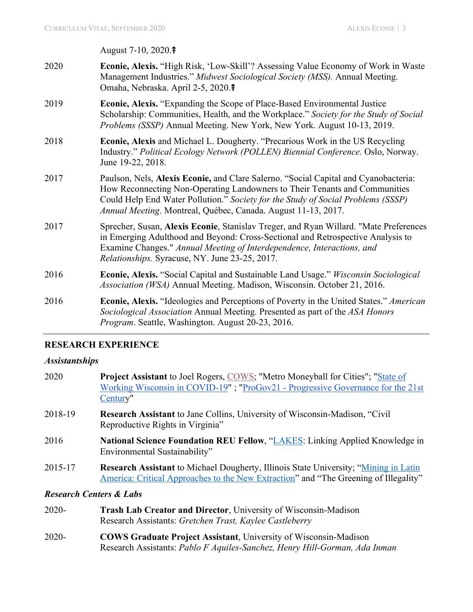August 7-10, 2020.⤉

- 2020 **Econie, Alexis.** "High Risk, 'Low-Skill'? Assessing Value Economy of Work in Waste Management Industries." *Midwest Sociological Society (MSS).* Annual Meeting. Omaha, Nebraska. April 2-5, 2020.<sup>‡</sup>
- 2019 **Econie, Alexis.** "Expanding the Scope of Place-Based Environmental Justice Scholarship: Communities, Health, and the Workplace." *Society for the Study of Social Problems (SSSP)* Annual Meeting. New York, New York. August 10-13, 2019.
- 2018 **Econie, Alexis** and Michael L. Dougherty. "Precarious Work in the US Recycling Industry." *Political Ecology Network (POLLEN) Biennial Conference.* Oslo, Norway. June 19-22, 2018.
- 2017 Paulson, Nels, **Alexis Econie,** and Clare Salerno. "Social Capital and Cyanobacteria: How Reconnecting Non-Operating Landowners to Their Tenants and Communities Could Help End Water Pollution." *Society for the Study of Social Problems (SSSP) Annual Meeting*. Montreal, Québec, Canada. August 11-13, 2017.
- 2017 Sprecher, Susan, **Alexis Econie**, Stanislav Treger, and Ryan Willard. "Mate Preferences in Emerging Adulthood and Beyond: Cross-Sectional and Retrospective Analysis to Examine Changes." *Annual Meeting of Interdependence, Interactions, and Relationships.* Syracuse, NY. June 23-25, 2017.
- 2016 **Econie, Alexis.** "Social Capital and Sustainable Land Usage." *Wisconsin Sociological Association (WSA)* Annual Meeting. Madison, Wisconsin. October 21, 2016.
- 2016 **Econie, Alexis.** "Ideologies and Perceptions of Poverty in the United States." *American Sociological Association* Annual Meeting*.* Presented as part of the *ASA Honors Program*. Seattle, Washington. August 20-23, 2016.

### **RESEARCH EXPERIENCE**

#### *Assistantships*

| 2020    | <b>Project Assistant</b> to Joel Rogers, COWS; "Metro Moneyball for Cities"; "State of<br>Working Wisconsin in COVID-19"; "ProGov21 - Progressive Governance for the 21st<br>Century" |
|---------|---------------------------------------------------------------------------------------------------------------------------------------------------------------------------------------|
| 2018-19 | Research Assistant to Jane Collins, University of Wisconsin-Madison, "Civil"<br>Reproductive Rights in Virginia"                                                                      |
| 2016    | National Science Foundation REU Fellow, "LAKES: Linking Applied Knowledge in<br>Environmental Sustainability"                                                                         |
| 2015-17 | <b>Research Assistant</b> to Michael Dougherty, Illinois State University; "Mining in Latin<br>America: Critical Approaches to the New Extraction" and "The Greening of Illegality"   |
|         |                                                                                                                                                                                       |

### *Research Centers & Labs*

- 2020- **Trash Lab Creator and Director**, University of Wisconsin-Madison Research Assistants: *Gretchen Trast, Kaylee Castleberry*
- 2020- **COWS Graduate Project Assistant**, University of Wisconsin-Madison Research Assistants: *Pablo F Aquiles-Sanchez, Henry Hill-Gorman, Ada Inman*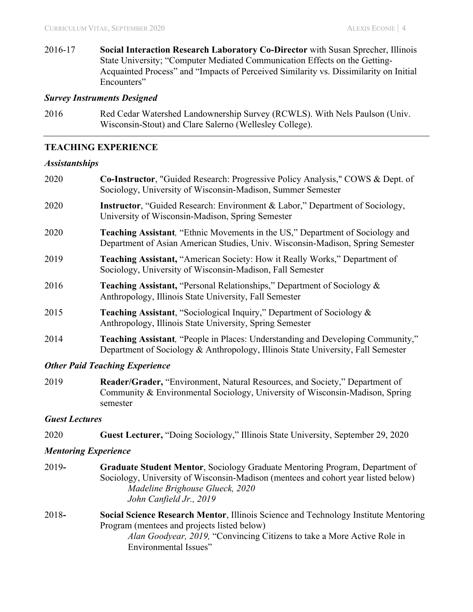2016-17 **Social Interaction Research Laboratory Co-Director** with Susan Sprecher, Illinois State University; "Computer Mediated Communication Effects on the Getting-Acquainted Process" and "Impacts of Perceived Similarity vs. Dissimilarity on Initial Encounters"

#### *Survey Instruments Designed*

2016 Red Cedar Watershed Landownership Survey (RCWLS). With Nels Paulson (Univ. Wisconsin-Stout) and Clare Salerno (Wellesley College).

#### **TEACHING EXPERIENCE**

#### *Assistantships*

| 2020 | Co-Instructor, "Guided Research: Progressive Policy Analysis," COWS & Dept. of<br>Sociology, University of Wisconsin-Madison, Summer Semester                              |
|------|----------------------------------------------------------------------------------------------------------------------------------------------------------------------------|
| 2020 | <b>Instructor</b> , "Guided Research: Environment & Labor," Department of Sociology,<br>University of Wisconsin-Madison, Spring Semester                                   |
| 2020 | <b>Teaching Assistant, "Ethnic Movements in the US," Department of Sociology and</b><br>Department of Asian American Studies, Univ. Wisconsin-Madison, Spring Semester     |
| 2019 | <b>Teaching Assistant, "American Society: How it Really Works," Department of</b><br>Sociology, University of Wisconsin-Madison, Fall Semester                             |
| 2016 | <b>Teaching Assistant, "Personal Relationships," Department of Sociology &amp;</b><br>Anthropology, Illinois State University, Fall Semester                               |
| 2015 | <b>Teaching Assistant, "Sociological Inquiry," Department of Sociology &amp;</b><br>Anthropology, Illinois State University, Spring Semester                               |
| 2014 | <b>Teaching Assistant, "People in Places: Understanding and Developing Community,"</b><br>Department of Sociology & Anthropology, Illinois State University, Fall Semester |
|      |                                                                                                                                                                            |

### *Other Paid Teaching Experience*

2019 **Reader/Grader,** "Environment, Natural Resources, and Society," Department of Community & Environmental Sociology, University of Wisconsin-Madison, Spring semester

### *Guest Lectures*

2020 **Guest Lecturer,** "Doing Sociology," Illinois State University, September 29, 2020

### *Mentoring Experience*

- 2019**- Graduate Student Mentor**, Sociology Graduate Mentoring Program, Department of Sociology, University of Wisconsin-Madison (mentees and cohort year listed below) *Madeline Brighouse Glueck, 2020 John Canfield Jr., 2019*
- 2018**- Social Science Research Mentor**, Illinois Science and Technology Institute Mentoring Program (mentees and projects listed below) *Alan Goodyear, 2019,* "Convincing Citizens to take a More Active Role in Environmental Issues"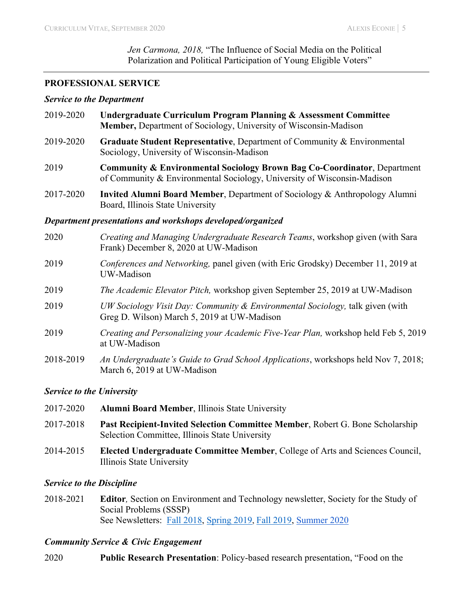*Jen Carmona, 2018,* "The Influence of Social Media on the Political Polarization and Political Participation of Young Eligible Voters"

#### **PROFESSIONAL SERVICE**

#### *Service to the Department*

- 2019-2020 **Undergraduate Curriculum Program Planning & Assessment Committee Member,** Department of Sociology, University of Wisconsin-Madison 2019-2020 **Graduate Student Representative**, Department of Community & Environmental Sociology, University of Wisconsin-Madison
- 2019 **Community & Environmental Sociology Brown Bag Co-Coordinator**, Department of Community & Environmental Sociology, University of Wisconsin-Madison
- 2017-2020 **Invited Alumni Board Member**, Department of Sociology & Anthropology Alumni Board, Illinois State University

#### *Department presentations and workshops developed/organized*

- 2020 *Creating and Managing Undergraduate Research Teams*, workshop given (with Sara Frank) December 8, 2020 at UW-Madison
- 2019 *Conferences and Networking,* panel given (with Eric Grodsky) December 11, 2019 at UW-Madison
- 2019 *The Academic Elevator Pitch,* workshop given September 25, 2019 at UW-Madison
- 2019 *UW Sociology Visit Day: Community & Environmental Sociology,* talk given (with Greg D. Wilson) March 5, 2019 at UW-Madison
- 2019 *Creating and Personalizing your Academic Five-Year Plan,* workshop held Feb 5, 2019 at UW-Madison
- 2018-2019 *An Undergraduate's Guide to Grad School Applications*, workshops held Nov 7, 2018; March 6, 2019 at UW-Madison

### *Service to the University*

- 2017-2020 **Alumni Board Member**, Illinois State University 2017-2018 **Past Recipient-Invited Selection Committee Member**, Robert G. Bone Scholarship Selection Committee, Illinois State University
- 2014-2015 **Elected Undergraduate Committee Member**, College of Arts and Sciences Council, Illinois State University

### *Service to the Discipline*

2018-2021 **Editor***,* Section on Environment and Technology newsletter, Society for the Study of Social Problems (SSSP) See Newsletters: Fall 2018, Spring 2019, Fall 2019, Summer 2020

### *Community Service & Civic Engagement*

2020 **Public Research Presentation**: Policy-based research presentation, "Food on the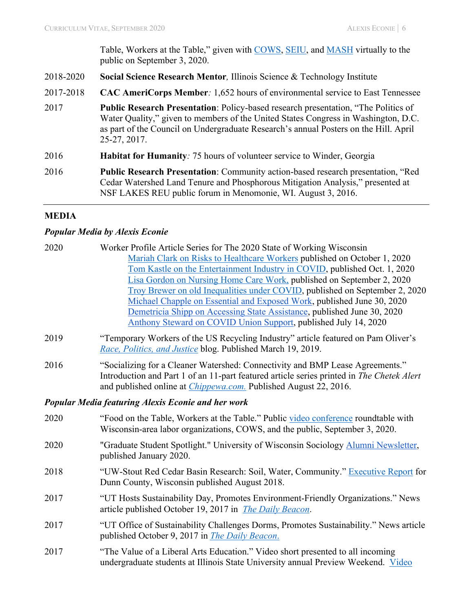Table, Workers at the Table," given with COWS, SEIU, and MASH virtually to the public on September 3, 2020.

- 2018-2020 **Social Science Research Mentor***,* Illinois Science & Technology Institute
- 2017-2018 **CAC AmeriCorps Member***:* 1,652 hours of environmental service to East Tennessee
- 2017 **Public Research Presentation**: Policy-based research presentation, "The Politics of Water Quality," given to members of the United States Congress in Washington, D.C. as part of the Council on Undergraduate Research's annual Posters on the Hill. April 25-27, 2017.
- 2016 **Habitat for Humanity***:* 75 hours of volunteer service to Winder, Georgia
- 2016 **Public Research Presentation**: Community action-based research presentation, "Red Cedar Watershed Land Tenure and Phosphorous Mitigation Analysis," presented at NSF LAKES REU public forum in Menomonie, WI. August 3, 2016.

# **MEDIA**

### *Popular Media by Alexis Econie*

| 2020 | Worker Profile Article Series for The 2020 State of Working Wisconsin                                                                            |
|------|--------------------------------------------------------------------------------------------------------------------------------------------------|
|      | Mariah Clark on Risks to Healthcare Workers published on October 1, 2020                                                                         |
|      | Tom Kastle on the Entertainment Industry in COVID, published Oct. 1, 2020                                                                        |
|      | Lisa Gordon on Nursing Home Care Work, published on September 2, 2020                                                                            |
|      | Troy Brewer on old Inequalities under COVID, published on September 2, 2020                                                                      |
|      | Michael Chapple on Essential and Exposed Work, published June 30, 2020                                                                           |
|      | Demetricia Shipp on Accessing State Assistance, published June 30, 2020                                                                          |
|      | Anthony Steward on COVID Union Support, published July 14, 2020                                                                                  |
| 2019 | "Temporary Workers of the US Recycling Industry" article featured on Pam Oliver's<br>Race, Politics, and Justice blog. Published March 19, 2019. |
|      |                                                                                                                                                  |
| 2016 | "Socializing for a Cleaner Watershed: Connectivity and BMP Lease Agreements."                                                                    |
|      | Introduction and Part 1 of an 11-part featured article series printed in The Chetek Alert                                                        |
|      | and published online at <i>Chippewa.com.</i> Published August 22, 2016.                                                                          |
|      | <b>Popular Media featuring Alexis Econie and her work</b>                                                                                        |
| 2020 | "Food on the Table, Workers at the Table." Public video conference roundtable with                                                               |
|      | Wisconsin-area labor organizations, COWS, and the public, September 3, 2020.                                                                     |
| 2020 | "Graduate Student Spotlight." University of Wisconsin Sociology Alumni Newsletter,                                                               |
|      | published January 2020.                                                                                                                          |
| 2018 | "UW-Stout Red Cedar Basin Research: Soil, Water, Community." Executive Report for                                                                |
|      | Dunn County, Wisconsin published August 2018.                                                                                                    |
| 2017 | "UT Hosts Sustainability Day, Promotes Environment-Friendly Organizations." News                                                                 |
|      | article published October 19, 2017 in <i>The Daily Beacon</i> .                                                                                  |
|      |                                                                                                                                                  |
| 2017 | "UT Office of Sustainability Challenges Dorms, Promotes Sustainability." News article                                                            |
|      | published October 9, 2017 in <i>The Daily Beacon</i> .                                                                                           |
| 2017 | "The Value of a Liberal Arts Education." Video short presented to all incoming                                                                   |
|      | undergraduate students at Illinois State University annual Preview Weekend. Video                                                                |